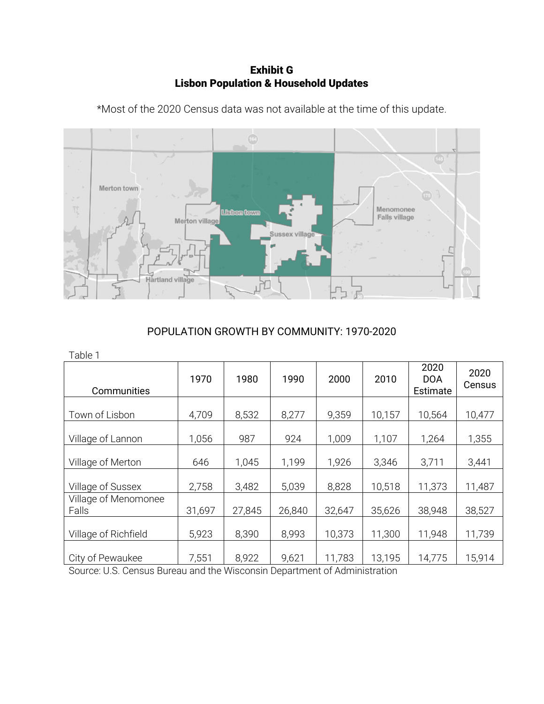Exhibit G Lisbon Population & Household Updates



\*Most of the 2020 Census data was not available at the time of this update.

# POPULATION GROWTH BY COMMUNITY: 1970-2020

| Table 1                       |        |        |        |        |        |                                |                |
|-------------------------------|--------|--------|--------|--------|--------|--------------------------------|----------------|
| Communities                   | 1970   | 1980   | 1990   | 2000   | 2010   | 2020<br><b>DOA</b><br>Estimate | 2020<br>Census |
| Town of Lisbon                | 4,709  | 8,532  | 8,277  | 9,359  | 10,157 | 10,564                         | 10,477         |
| Village of Lannon             | 1,056  | 987    | 924    | 1,009  | 1,107  | 1,264                          | 1,355          |
| Village of Merton             | 646    | 1,045  | 1,199  | 1,926  | 3,346  | 3,711                          | 3,441          |
| Village of Sussex             | 2,758  | 3,482  | 5,039  | 8,828  | 10,518 | 11,373                         | 11,487         |
| Village of Menomonee<br>Falls | 31,697 | 27,845 | 26,840 | 32,647 | 35,626 | 38,948                         | 38,527         |
| Village of Richfield          | 5,923  | 8,390  | 8,993  | 10,373 | 11,300 | 11,948                         | 11,739         |
| City of Pewaukee              | 7,551  | 8,922  | 9,621  | 11,783 | 13,195 | 14,775                         | 15,914         |

Source: U.S. Census Bureau and the Wisconsin Department of Administration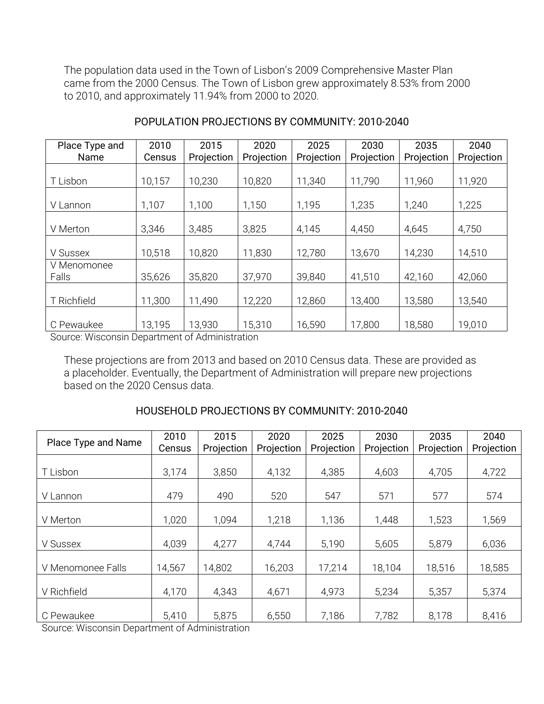The population data used in the Town of Lisbon's 2009 Comprehensive Master Plan came from the 2000 Census. The Town of Lisbon grew approximately 8.53% from 2000 to 2010, and approximately 11.94% from 2000 to 2020.

| Place Type and | 2010   | 2015       | 2020       | 2025       | 2030       | 2035       | 2040       |
|----------------|--------|------------|------------|------------|------------|------------|------------|
| Name           | Census | Projection | Projection | Projection | Projection | Projection | Projection |
|                |        |            |            |            |            |            |            |
| T Lisbon       | 10,157 | 10,230     | 10,820     | 11,340     | 11,790     | 11,960     | 11,920     |
|                |        |            |            |            |            |            |            |
| V Lannon       | 1,107  | 1,100      | 1,150      | 1,195      | 1,235      | 1,240      | 1,225      |
|                |        |            |            |            |            |            |            |
| V Merton       | 3,346  | 3,485      | 3,825      | 4,145      | 4,450      | 4,645      | 4,750      |
|                |        |            |            |            |            |            |            |
| V Sussex       | 10,518 | 10,820     | 11,830     | 12,780     | 13,670     | 14,230     | 14,510     |
| V Menomonee    |        |            |            |            |            |            |            |
| Falls          | 35,626 | 35,820     | 37,970     | 39,840     | 41,510     | 42,160     | 42,060     |
|                |        |            |            |            |            |            |            |
| T Richfield    | 11,300 | 11,490     | 12,220     | 12,860     | 13,400     | 13,580     | 13,540     |
|                |        |            |            |            |            |            |            |
| C Pewaukee     | 13,195 | 13,930     | 15,310     | 16,590     | 17,800     | 18,580     | 19,010     |

# POPULATION PROJECTIONS BY COMMUNITY: 2010-2040

Source: Wisconsin Department of Administration

These projections are from 2013 and based on 2010 Census data. These are provided as a placeholder. Eventually, the Department of Administration will prepare new projections based on the 2020 Census data.

### HOUSEHOLD PROJECTIONS BY COMMUNITY: 2010-2040

| Place Type and Name | 2010<br>Census | 2015<br>Projection | 2020<br>Projection | 2025<br>Projection | 2030<br>Projection | 2035<br>Projection | 2040<br>Projection |
|---------------------|----------------|--------------------|--------------------|--------------------|--------------------|--------------------|--------------------|
| T Lisbon            | 3,174          | 3,850              | 4,132              | 4,385              | 4,603              | 4,705              | 4,722              |
| V Lannon            | 479            | 490                | 520                | 547                | 571                | 577                | 574                |
| V Merton            | 1,020          | 1,094              | 1,218              | 1,136              | 1,448              | 1,523              | 1,569              |
| V Sussex            | 4,039          | 4,277              | 4,744              | 5,190              | 5,605              | 5,879              | 6,036              |
| V Menomonee Falls   | 14,567         | 14,802             | 16,203             | 17,214             | 18,104             | 18,516             | 18,585             |
| V Richfield         | 4,170          | 4,343              | 4,671              | 4,973              | 5,234              | 5,357              | 5,374              |
| C Pewaukee          | 5,410          | 5,875              | 6,550              | 7,186              | 7,782              | 8,178              | 8,416              |

Source: Wisconsin Department of Administration